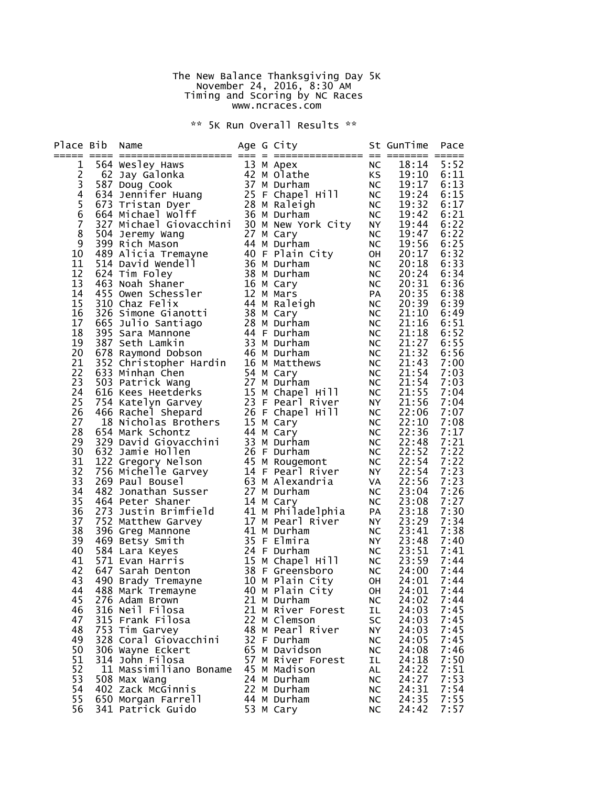## The New Balance Thanksgiving Day 5K November 24, 2016, 8:30 AM Timing and Scoring by NC Races www.ncraces.com

\*\* 5K Run Overall Results \*\*

| Place Bib     | Name                                                                                                                                                                                                                                                         |  | Age G City                         |                 | St GunTime            | Pace             |
|---------------|--------------------------------------------------------------------------------------------------------------------------------------------------------------------------------------------------------------------------------------------------------------|--|------------------------------------|-----------------|-----------------------|------------------|
|               | Example 10 Mapples and the same specifical and the same of the same of the same of the same of the same of the same of the same of the same of the same of the same of the same of the same of the same of the same of the sam                               |  |                                    |                 | 18:14                 | 5:52             |
| 1             |                                                                                                                                                                                                                                                              |  | NC<br>KS                           | NC              | 19:10                 | 6:11             |
| $\frac{2}{3}$ |                                                                                                                                                                                                                                                              |  |                                    | NC              | 19:17                 | 6:13             |
| 4             |                                                                                                                                                                                                                                                              |  |                                    |                 | 19:24                 | 6:15             |
|               |                                                                                                                                                                                                                                                              |  |                                    | NC<br>NC        | 19:32                 | 6:17             |
| 5<br>6<br>7   |                                                                                                                                                                                                                                                              |  |                                    | NC              | 19:42                 | 6:21             |
|               |                                                                                                                                                                                                                                                              |  |                                    | NY<br>NC        | 19:44                 | 6:22             |
| 8             |                                                                                                                                                                                                                                                              |  |                                    |                 | 19:47                 | 6:22             |
| 9             |                                                                                                                                                                                                                                                              |  |                                    | NC              | 19:56                 | 6:25             |
| 10            |                                                                                                                                                                                                                                                              |  |                                    | OH<br>NC        | 20:17                 | 6:32             |
| 11            |                                                                                                                                                                                                                                                              |  |                                    |                 | 20:18                 | 6:33             |
| 12<br>13      |                                                                                                                                                                                                                                                              |  |                                    | <b>NC</b>       | 20:24<br>20:31        | 6:34<br>6:36     |
| 14            |                                                                                                                                                                                                                                                              |  | NC<br>PA                           |                 | 20:35                 | 6:38             |
| 15            |                                                                                                                                                                                                                                                              |  |                                    | <b>NC</b>       | 20:39                 | 6:39             |
| 16            |                                                                                                                                                                                                                                                              |  |                                    | <b>NC</b>       | 21:10                 | 6:49             |
| 17            |                                                                                                                                                                                                                                                              |  |                                    | <b>NC</b>       | 21:16                 | 6:51             |
| 18            |                                                                                                                                                                                                                                                              |  |                                    | NC              | 21:18                 | 6:52             |
| 19            | Formulated and the same scheme of the same scheme of the same scheme of the same space of the same space of the same space of the space of the space of the space of the space of the space of the space of the space of the s                               |  |                                    | NC              | 21:27                 | 6:55             |
| 20            |                                                                                                                                                                                                                                                              |  |                                    | $N\overline{C}$ | 21:32                 | 6:56             |
| 21            |                                                                                                                                                                                                                                                              |  |                                    | NC              | 21:43                 | 7:00             |
| 22            |                                                                                                                                                                                                                                                              |  |                                    | <b>NC</b>       | 21:54                 | 7:03             |
| 23            |                                                                                                                                                                                                                                                              |  |                                    | NC              | 21:54                 | 7:03             |
| 24            | 978 Raymond Dobson<br>352 Christopher Hardin 16 M Matthews<br>633 Minhan Chen 54 M Cary<br>503 Patrick Wang 27 M Durham<br>616 Kees Heetderks 15 M Chapel Hill<br>754 Katelyn Garvey 23 F Pearl River<br>466 Rachel Shepard 26 F Chapel Hi                   |  | NC<br>NY<br>NC                     |                 | 21:55                 | 7:04             |
| 25<br>26      |                                                                                                                                                                                                                                                              |  |                                    |                 | 21:56<br>22:06        | 7:04<br>7:07     |
| 27            |                                                                                                                                                                                                                                                              |  |                                    | NC              | 22:10                 | 7:08             |
| 28            | 654 Mark Schontz                                                                                                                                                                                                                                             |  | 44 M Cary                          | <b>NC</b>       | 22:36                 | 7:17             |
| 29            | 329 David Giovacchini<br>632 Jamie Hollen<br>122 Gregory Nelson<br>756 Michelle Garvey<br>26 Paul Bousel<br>63 M Alexandria<br>482 Jonathan Susser (1970)<br>77 M Alexandria<br>14 Pearl River<br>77 M Alexandria                                            |  |                                    | NC              | 22:48                 | 7:21             |
| 30            |                                                                                                                                                                                                                                                              |  |                                    |                 | 22:52                 | 7:22             |
| 31            |                                                                                                                                                                                                                                                              |  |                                    | NC<br>NC<br>NY  | 22:54                 | 7:22             |
| 32            |                                                                                                                                                                                                                                                              |  |                                    |                 | 22:54                 | 7:23             |
| 33            | 269 Paul Bousel<br>482 Jonathan Susser 27 M Durham MC<br>464 Peter Shaner 14 M Cami                                                                                                                                                                          |  |                                    |                 | 22:56                 | $7:23$<br>$7:26$ |
| 34            |                                                                                                                                                                                                                                                              |  |                                    |                 | 23:04                 |                  |
| 35            |                                                                                                                                                                                                                                                              |  |                                    |                 | 23:08                 | 7:27             |
| 36            |                                                                                                                                                                                                                                                              |  |                                    |                 | 23:18                 | 7:30             |
| 37            |                                                                                                                                                                                                                                                              |  |                                    |                 | 23:29                 | 7:34             |
| 38<br>39      |                                                                                                                                                                                                                                                              |  |                                    |                 | 23:41<br>23:48        | 7:38<br>7:40     |
| 40            | 482 Johannan Susser<br>464 Peter Shaner 14 M Cary NC<br>273 Justin Brimfield 41 M Philadelphia PA<br>752 Matthew Garvey 17 M Pearl River NY<br>396 Greg Mannone 41 M Durham NC<br>469 Betsy Smith 35 F Elmira NY<br>584 Lara Keyes 24 F Du<br>584 Lara Keyes |  |                                    |                 | 23:51                 | 7:41             |
| 41            | 584 Lara Keyes 24 F Durham<br>571 Evan Harris 15 M Chapel Hill<br>647 Sarah Denton 38 F Greensboro<br>490 Brady Tremayne 10 M Plain City                                                                                                                     |  |                                    |                 | NC $\overline{23:59}$ | 7:44             |
| 42            |                                                                                                                                                                                                                                                              |  |                                    | NC              | 24:00                 | 7:44             |
| 43            |                                                                                                                                                                                                                                                              |  |                                    | OH              | 24:01                 | 7:44             |
| 44            | 488 Mark Tremayne                                                                                                                                                                                                                                            |  | 40 M Plain City                    | OН              | 24:01                 | 7:44             |
| 45            | 276 Adam Brown                                                                                                                                                                                                                                               |  | 21 M Durham                        | NС              | 24:02                 | 7:44             |
| 46            | 316 Neil Filosa                                                                                                                                                                                                                                              |  | 21 M River Forest                  | IL              | 24:03                 | 7:45             |
| 47            | 315 Frank Filosa                                                                                                                                                                                                                                             |  | 22 M Clemson                       | SC              | 24:03                 | 7:45             |
| 48            | 753 Tim Garvey                                                                                                                                                                                                                                               |  | 48 M Pearl River                   | NΥ              | 24:03                 | 7:45             |
| 49            | 328 Coral Giovacchini                                                                                                                                                                                                                                        |  | 32 F Durham                        | NС              | 24:05                 | 7:45             |
| 50<br>51      | 306 Wayne Eckert<br>314 John Filosa                                                                                                                                                                                                                          |  | 65 M Davidson<br>57 M River Forest | <b>NC</b><br>ΙL | 24:08<br>24:18        | 7:46<br>7:50     |
| 52            | 11 Massimiliano Boname                                                                                                                                                                                                                                       |  | 45 M Madison                       | AL              | 24:22                 | 7:51             |
| 53            | 508 Max Wang                                                                                                                                                                                                                                                 |  | 24 M Durham                        | <b>NC</b>       | 24:27                 | 7:53             |
| 54            | 402 Zack McGinnis                                                                                                                                                                                                                                            |  | 22 M Durham                        | NС              | 24:31                 | 7:54             |
| 55            | 650 Morgan Farrell                                                                                                                                                                                                                                           |  | 44 M Durham                        | NC              | 24:35                 | 7:55             |
| 56            | 341 Patrick Guido                                                                                                                                                                                                                                            |  | 53 M Cary                          | <b>NC</b>       | 24:42                 | 7:57             |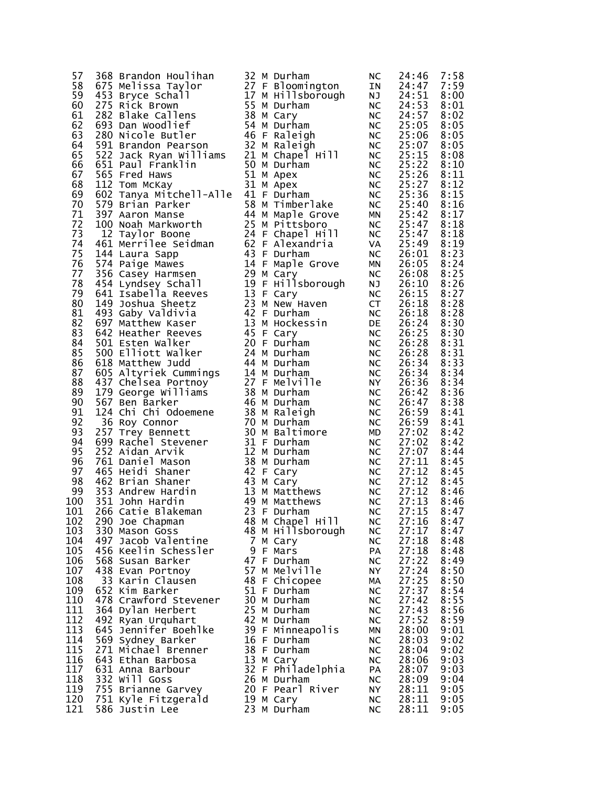| 57  | 368 Brandon Houlihan                                                                                                                                                                                                                             |  | 32 M Durham                    | <b>NC</b> | 24:46 | 7:58 |
|-----|--------------------------------------------------------------------------------------------------------------------------------------------------------------------------------------------------------------------------------------------------|--|--------------------------------|-----------|-------|------|
|     |                                                                                                                                                                                                                                                  |  |                                |           |       |      |
| 58  |                                                                                                                                                                                                                                                  |  | 27 F Bloomington               | IN        | 24:47 | 7:59 |
| 59  | The Community of the Server Schall<br>1975 Rick Brown<br>282 Blake Callens<br>693 Dan Woodlief<br>280 Nicole Butler<br>591 Brandon Pearson<br>522 Jack Prince Callens<br>522 Jack Prince Callens<br>522 Jack Prince Callens<br>522 Jack Prince C |  | 17 M Hillsborough              | NJ 1      | 24:51 | 8:00 |
| 60  |                                                                                                                                                                                                                                                  |  | 55 M Durham                    | <b>NC</b> | 24:53 | 8:01 |
| 61  |                                                                                                                                                                                                                                                  |  | 38 M Cary                      | NC        | 24:57 | 8:02 |
|     |                                                                                                                                                                                                                                                  |  |                                |           |       |      |
| 62  |                                                                                                                                                                                                                                                  |  | 54 M Durham                    | <b>NC</b> | 25:05 | 8:05 |
| 63  |                                                                                                                                                                                                                                                  |  | 46 F Raleigh                   | NC        | 25:06 | 8:05 |
| 64  |                                                                                                                                                                                                                                                  |  | 32 M Raleigh                   | NC        | 25:07 | 8:05 |
| 65  |                                                                                                                                                                                                                                                  |  |                                | <b>NC</b> | 25:15 | 8:08 |
| 66  | 522 Jack Ryan Williams<br>522 Jack Ryan Williams<br>565 Fred Haws<br>521 M Apex<br>112 Tom McKay<br>51 M Apex                                                                                                                                    |  |                                |           | 25:22 | 8:10 |
|     |                                                                                                                                                                                                                                                  |  |                                | <b>NC</b> |       |      |
| 67  |                                                                                                                                                                                                                                                  |  |                                | NC        | 25:26 | 8:11 |
| 68  | 112 Tom McKay                                                                                                                                                                                                                                    |  | 31 M Apex                      | <b>NC</b> | 25:27 | 8:12 |
| 69  | 602 Tanya Mitchell-Alle 41 F Durham                                                                                                                                                                                                              |  |                                | <b>NC</b> | 25:36 | 8:15 |
| 70  |                                                                                                                                                                                                                                                  |  | 4⊥ F Durham<br>58 M Timberlake | NC<br>NC  | 25:40 | 8:16 |
|     |                                                                                                                                                                                                                                                  |  |                                |           |       |      |
| 71  |                                                                                                                                                                                                                                                  |  |                                | <b>MN</b> | 25:42 | 8:17 |
| 72  |                                                                                                                                                                                                                                                  |  |                                | NC<br>NC  | 25:47 | 8:18 |
| 73  |                                                                                                                                                                                                                                                  |  |                                |           | 25:47 | 8:18 |
| 74  |                                                                                                                                                                                                                                                  |  |                                | VA        | 25:49 | 8:19 |
| 75  | 579 Brian Parker<br>397 Aaron Manse<br>100 Noah Markworth<br>12 Taylor Boone<br>25 M Pittsboro<br>24 F Chapel Hill<br>461 Merrilee Seidman<br>144 Laura Sann<br>22 F Alexandria<br>144 Laura Sann<br>22 F Alexandria<br>144 Laura Sapp           |  | 43 F Durham                    |           | 26:01 | 8:23 |
|     |                                                                                                                                                                                                                                                  |  |                                | <b>NC</b> |       |      |
| 76  | 574 Paige Mawes                                                                                                                                                                                                                                  |  | 14 F Maple Grove               | MN        | 26:05 | 8:24 |
| 77  |                                                                                                                                                                                                                                                  |  | 29 M Cary                      | <b>NC</b> | 26:08 | 8:25 |
| 78  | 356 Casey Harmsen<br>454 Lyndsey Schall<br>641 Isabella Reeves                                                                                                                                                                                   |  | 19 F Hillsborough              | NJ        | 26:10 | 8:26 |
| 79  |                                                                                                                                                                                                                                                  |  | 13 F Cary                      | <b>NC</b> | 26:15 | 8:27 |
|     |                                                                                                                                                                                                                                                  |  |                                |           |       |      |
| 80  | 149 Joshua Sheetz                                                                                                                                                                                                                                |  | 23 M New Haven                 | <b>CT</b> | 26:18 | 8:28 |
| 81  | 493 Gaby Valdivia                                                                                                                                                                                                                                |  | 42 F Durham                    | <b>NC</b> | 26:18 | 8:28 |
| 82  | 697 Matthew Kaser                                                                                                                                                                                                                                |  | 13 M Hockessin                 | <b>DE</b> | 26:24 | 8:30 |
| 83  | 642 Heather Reeves                                                                                                                                                                                                                               |  | 45 F Cary                      | <b>NC</b> | 26:25 | 8:30 |
| 84  | 501 Esten Walker                                                                                                                                                                                                                                 |  | 20 F Durham                    | <b>NC</b> | 26:28 | 8:31 |
| 85  | 500 Elliott Walker                                                                                                                                                                                                                               |  | 24 M Durham                    |           | 26:28 | 8:31 |
|     |                                                                                                                                                                                                                                                  |  |                                | <b>NC</b> |       |      |
| 86  |                                                                                                                                                                                                                                                  |  | 44 M Durham                    | NC        | 26:34 | 8:33 |
| 87  |                                                                                                                                                                                                                                                  |  | 14 M Durham                    | <b>NC</b> | 26:34 | 8:34 |
| 88  |                                                                                                                                                                                                                                                  |  | 27 F Melville                  | <b>NY</b> | 26:36 | 8:34 |
| 89  | oio matthew Judd<br>605 Altyriek Cummings<br>437 Chelsea Portnoy<br>179 George Williams<br>179 George Williams                                                                                                                                   |  | 38 M Durham                    | NC        | 26:42 | 8:36 |
| 90  | 567 Ben Barker                                                                                                                                                                                                                                   |  | 46 M Durham                    | <b>NC</b> | 26:47 | 8:38 |
|     |                                                                                                                                                                                                                                                  |  |                                |           |       |      |
| 91  |                                                                                                                                                                                                                                                  |  | 38 M Raleigh                   | <b>NC</b> | 26:59 | 8:41 |
| 92  | 567 Ben Barker<br>124 Chi Chi Odoemene<br>36 Roy Connor<br>257 Trey Bennett                                                                                                                                                                      |  | 70 M Durham                    | <b>NC</b> | 26:59 | 8:41 |
| 93  | 257 Trey Bennett                                                                                                                                                                                                                                 |  | 30 M Baltimore                 | MD        | 27:02 | 8:42 |
| 94  | 599 Rachel Stevener<br>252 Aidan Arvik<br>761 Daniel Mason<br>465 Heidi Shaner                                                                                                                                                                   |  | 31 F Durham                    | <b>NC</b> | 27:02 | 8:42 |
| 95  |                                                                                                                                                                                                                                                  |  | 12 M Durham                    | NC        | 27:07 | 8:44 |
| 96  |                                                                                                                                                                                                                                                  |  | 38 M Durham                    |           | 27:11 | 8:45 |
|     |                                                                                                                                                                                                                                                  |  |                                | <b>NC</b> |       |      |
| 97  |                                                                                                                                                                                                                                                  |  | 42 F Cary                      | <b>NC</b> | 27:12 | 8:45 |
| 98  | 462 Brian Shaner                                                                                                                                                                                                                                 |  | 43 M Cary                      | <b>NC</b> | 27:12 | 8:45 |
| 99  | 353 Andrew Hardin                                                                                                                                                                                                                                |  | 13 M Matthews                  | <b>NC</b> | 27:12 | 8:46 |
| 100 | 351 John Hardin                                                                                                                                                                                                                                  |  | 49 M Matthews                  | <b>NC</b> | 27:13 | 8:46 |
| 101 | 266 Catie Blakeman                                                                                                                                                                                                                               |  | 23 F Durham                    | <b>NC</b> | 27:15 | 8:47 |
|     |                                                                                                                                                                                                                                                  |  |                                |           |       |      |
| 102 | 290 Joe Chapman                                                                                                                                                                                                                                  |  | 48 M Chapel Hill               | <b>NC</b> | 27:16 | 8:47 |
| 103 | 330 Mason Goss                                                                                                                                                                                                                                   |  | 48 M Hillsborough              | NC        | 27:17 | 8:47 |
| 104 | 497 Jacob Valentine                                                                                                                                                                                                                              |  | 7 M Cary                       | <b>NC</b> | 27:18 | 8:48 |
| 105 | 456 Keelin Schessler                                                                                                                                                                                                                             |  | 9 F Mars                       | PA        | 27:18 | 8:48 |
| 106 | 568 Susan Barker                                                                                                                                                                                                                                 |  | 47 F Durham                    | <b>NC</b> | 27:22 | 8:49 |
|     |                                                                                                                                                                                                                                                  |  |                                |           |       |      |
| 107 | 438 Evan Portnoy                                                                                                                                                                                                                                 |  | 57 M Melville                  | NY        | 27:24 | 8:50 |
| 108 | 33 Karin Clausen                                                                                                                                                                                                                                 |  | 48 F Chicopee                  | MА        | 27:25 | 8:50 |
| 109 | 652 Kim Barker                                                                                                                                                                                                                                   |  | 51 F Durham                    | <b>NC</b> | 27:37 | 8:54 |
| 110 | 478 Crawford Stevener                                                                                                                                                                                                                            |  | 30 M Durham                    | <b>NC</b> | 27:42 | 8:55 |
| 111 | 364 Dylan Herbert                                                                                                                                                                                                                                |  | 25 M Durham                    | <b>NC</b> | 27:43 | 8:56 |
| 112 |                                                                                                                                                                                                                                                  |  |                                |           |       |      |
|     | 492 Ryan Urquhart                                                                                                                                                                                                                                |  | 42 M Durham                    | <b>NC</b> | 27:52 | 8:59 |
| 113 | 645<br>Jennifer Boehlke                                                                                                                                                                                                                          |  | 39 F Minneapolis               | ΜN        | 28:00 | 9:01 |
| 114 | 569 Sydney Barker                                                                                                                                                                                                                                |  | 16 F Durham                    | NС        | 28:03 | 9:02 |
| 115 | 271 Michael Brenner                                                                                                                                                                                                                              |  | 38 F Durham                    | NC        | 28:04 | 9:02 |
| 116 | 643 Ethan Barbosa                                                                                                                                                                                                                                |  | 13 M Cary                      | <b>NC</b> | 28:06 | 9:03 |
| 117 | 631 Anna Barbour                                                                                                                                                                                                                                 |  | 32 F Philadelphia              | PA        | 28:07 | 9:03 |
| 118 | 332 Will Goss                                                                                                                                                                                                                                    |  | 26 M Durham                    | NC        | 28:09 | 9:04 |
|     |                                                                                                                                                                                                                                                  |  |                                |           |       |      |
| 119 | 755 Brianne Garvey                                                                                                                                                                                                                               |  | 20 F Pearl River               | NY.       | 28:11 | 9:05 |
| 120 | 751 Kyle Fitzgerald                                                                                                                                                                                                                              |  | 19 M Cary                      | <b>NC</b> | 28:11 | 9:05 |
| 121 | 586 Justin Lee                                                                                                                                                                                                                                   |  | 23 M Durham                    | <b>NC</b> | 28:11 | 9:05 |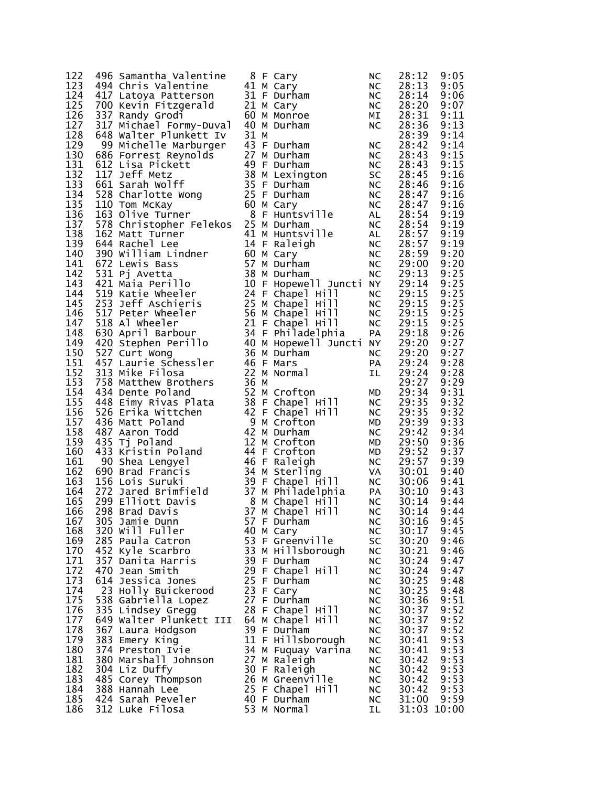| 122        | 496 Samantha Valentine                                                                                                                                                                                                                                   |      | 8 F Cary                                             | <b>NC</b>              | 28:12          | 9:05         |
|------------|----------------------------------------------------------------------------------------------------------------------------------------------------------------------------------------------------------------------------------------------------------|------|------------------------------------------------------|------------------------|----------------|--------------|
| 123        | 494 Chris Valentine                                                                                                                                                                                                                                      |      | $41$ M Cary                                          | NC.                    | 28:13          | 9:05         |
| 124        | 417 Latoya Patterson                                                                                                                                                                                                                                     |      | 31 F Durham                                          | NC                     | 28:14          | 9:06         |
| 125        | 700 Kevin Fitzgerald                                                                                                                                                                                                                                     |      | 21 M Cary                                            | <b>NC</b>              | 28:20          | 9:07         |
| 126        | 337 Randy Grodi                                                                                                                                                                                                                                          |      | 60 M Monroe                                          | МI                     | 28:31          | 9:11         |
| 127        | 317 Michael Formy-Duval                                                                                                                                                                                                                                  |      | 40 M Durham                                          | <b>NC</b>              | 28:36          | 9:13         |
| 128        | 648 Walter Plunkett Iv                                                                                                                                                                                                                                   | 31 M |                                                      |                        | 28:39          | 9:14         |
| 129        | 99 Michelle Marburger                                                                                                                                                                                                                                    |      | 43 F Durham                                          | <b>NC</b>              | 28:42          | 9:14         |
| 130        |                                                                                                                                                                                                                                                          |      |                                                      | <b>NC</b>              | 28:43          | 9:15         |
| 131        |                                                                                                                                                                                                                                                          |      |                                                      | <b>NC</b>              | 28:43          | 9:15         |
| 132        |                                                                                                                                                                                                                                                          |      |                                                      | SC                     | 28:45          | 9:16         |
| 133        |                                                                                                                                                                                                                                                          |      |                                                      | <b>NC</b>              | 28:46          | 9:16         |
| 134        |                                                                                                                                                                                                                                                          |      |                                                      | <b>NC</b>              | 28:47          | 9:16         |
| 135        |                                                                                                                                                                                                                                                          |      |                                                      | NC                     | 28:47          | 9:16         |
| 136        | 99 Michelle Marburger<br>686 Forrest Reynolds<br>62 Lisa Pickett<br>117 Jeff Metz<br>117 Jeff Metz<br>661 Sarah Wolff<br>528 Charlotte Wong<br>110 Tom McKay<br>163 Olive Turner<br>163 Olive Turner<br>768 Christopher Pelekos<br>25 F Durham<br>8 F    |      |                                                      | AL                     | 28:54          | 9:19         |
| 137        |                                                                                                                                                                                                                                                          |      |                                                      | <b>NC</b>              | 28:54          | 9:19         |
| 138        | 162 Matt Turner                                                                                                                                                                                                                                          |      | 41 M Huntsville                                      | AL                     | 28:57          | 9:19         |
| 139        | 644 Rachel Lee                                                                                                                                                                                                                                           |      | 14 F Raleigh                                         | NC                     | 28:57          | 9:19         |
| 140        |                                                                                                                                                                                                                                                          |      |                                                      | <b>NC</b>              | 28:59          | 9:20         |
| 141        | 390 William Lindner<br>60 M Cary<br>672 Lewis Bass<br>57 M Durham<br>531 Pj Avetta<br>421 Maia Perillo<br>519 Katie Wheeler<br>519 Katie Wheeler<br>24 F Chapel<br>672 Lewis Bass                                                                        |      |                                                      | NC                     | 29:00          | 9:20         |
| 142        |                                                                                                                                                                                                                                                          |      |                                                      | <b>NC</b>              | 29:13          | 9:25         |
| 143        |                                                                                                                                                                                                                                                          |      | 10 F Hopewell Juncti NY                              |                        | 29:14          | 9:25         |
| 144        |                                                                                                                                                                                                                                                          |      | 24 F Chapel Hill                                     | <b>NC</b>              | 29:15          | 9:25         |
| 145        |                                                                                                                                                                                                                                                          |      |                                                      | <b>NC</b>              | 29:15          | 9:25         |
| 146        |                                                                                                                                                                                                                                                          |      |                                                      | <b>NC</b>              | 29:15          | 9:25         |
|            | 147 518 Al wheeler                                                                                                                                                                                                                                       |      |                                                      | NC                     | 29:15          | 9:25         |
| 148        | 519 Katie Wheeler<br>253 Jeff Aschieris<br>517 Peter Wheeler<br>518 Al Wheeler<br>518 Al Wheeler<br>518 Al Wheeler<br>518 Al Wheeler<br>518 Al Wheeler<br>21 F Chapel Hill<br>518 Al Wheeler<br>518 Al Wheeler<br>21 F Chapel Hill<br>518 Al Wheeler<br> |      | 34 F Philadelphia                                    | PA                     | 29:18          | 9:26         |
| 149        |                                                                                                                                                                                                                                                          |      | 40 M Hopewell Juncti NY                              |                        | 29:20          | 9:27         |
| 150        |                                                                                                                                                                                                                                                          |      |                                                      | <b>NC</b>              | 29:20          | 9:27         |
| 151        |                                                                                                                                                                                                                                                          |      | 46 F Mars                                            |                        | 29:24          | 9:28         |
| 152        | 313 Mike Filosa                                                                                                                                                                                                                                          |      | 22 M Normal                                          | PA                     | 29:24          | 9:28         |
| 153        | 758 Matthew Brothers<br>434 Dente Poland<br>448 Eimy Rivas Plata<br>526 Erika Wittchen<br>436 Matt Poland                                                                                                                                                | 36 M |                                                      | ΙL.                    | 29:27          | 9:29         |
| 154        |                                                                                                                                                                                                                                                          |      |                                                      |                        | 29:34          | 9:31         |
| 155        |                                                                                                                                                                                                                                                          |      | 52 M Crofton<br>38 F Chapel Hill                     | MD                     | 29:35          | 9:32         |
| 156        |                                                                                                                                                                                                                                                          |      | 42 F Chapel Hill                                     | <b>NC</b>              | 29:35          | 9:32         |
| 157        | 436 Matt Poland                                                                                                                                                                                                                                          |      | 9 M Crofton                                          | <b>NC</b>              | 29:39          | 9:33         |
| 158        |                                                                                                                                                                                                                                                          |      | 42 M Durham                                          | MD                     | 29:42          | 9:34         |
| 159        | 487 Aaron Todd                                                                                                                                                                                                                                           |      | 12 M Crofton                                         | <b>NC</b>              |                | 9:36         |
| 160        | 435 Tj Poland<br>433 Lyruman<br>433 Kristin Poland                                                                                                                                                                                                       |      | 44 F Crofton                                         | MD                     | 29:50<br>29:52 | 9:37         |
|            |                                                                                                                                                                                                                                                          |      | 46 F Raleigh                                         | MD                     | 29:57          | 9:39         |
| 161<br>162 | 90 Shea Lengyel<br>90 Shea Lengyel<br>690 Brad Francis                                                                                                                                                                                                   |      | 34 M Sterling                                        | NC<br><b>VA</b>        | 30:01          | 9:40         |
| 163        | b90 הומות<br>156 Lois Suruki<br>272 Jared Brimfield<br>הירי הייניי                                                                                                                                                                                       |      |                                                      |                        |                | 9:41         |
| 164        |                                                                                                                                                                                                                                                          |      | ישטור באטור 15 E<br>37 M Philadelphia<br>בריי בי שלו | NC<br>PA               | 30:06<br>30:10 | 9:43         |
| 165        |                                                                                                                                                                                                                                                          |      | 8 м Chapel нill                                      |                        | 30:14          | 9:44         |
| 166        | 298 Brad Davis                                                                                                                                                                                                                                           | 37   | M Chapel Hill                                        | <b>NC</b>              | 30:14          | 9:44         |
|            |                                                                                                                                                                                                                                                          |      |                                                      | <b>NC</b>              |                |              |
| 167<br>168 | 305 Jamie Dunn                                                                                                                                                                                                                                           |      | 57 F Durham                                          | <b>NC</b>              | 30:16          | 9:45         |
| 169        | 320 Will Fuller<br>285 Paula Catron                                                                                                                                                                                                                      |      | 40 M Cary<br>53 F Greenville                         | <b>NC</b>              | 30:17<br>30:20 | 9:45<br>9:46 |
|            |                                                                                                                                                                                                                                                          |      |                                                      | SC                     |                |              |
| 170<br>171 | 452 Kyle Scarbro                                                                                                                                                                                                                                         |      | 33 M Hillsborough                                    | <b>NC</b>              | 30:21<br>30:24 | 9:46         |
|            | 357 Danita Harris                                                                                                                                                                                                                                        |      | 39 F Durham<br>29 F Chapel Hill                      | NC                     |                | 9:47         |
| 172        | 470 Jean Smith                                                                                                                                                                                                                                           |      |                                                      | <b>NC</b>              | 30:24          | 9:47         |
| 173        | 614 Jessica Jones                                                                                                                                                                                                                                        |      | 25 F Durham                                          | <b>NC</b>              | 30:25          | 9:48         |
| 174        | 23 Holly Buickerood                                                                                                                                                                                                                                      |      | 23 F Cary                                            | <b>NC</b>              | 30:25          | 9:48         |
| 175        | 538 Gabriella Lopez                                                                                                                                                                                                                                      |      | 27 F Durham                                          | <b>NC</b>              | 30:36          | 9:51         |
| 176        | 335 Lindsey Gregg                                                                                                                                                                                                                                        |      | 28 F Chapel Hill                                     | <b>NC</b>              | 30:37          | 9:52         |
| 177        | 649 Walter Plunkett III                                                                                                                                                                                                                                  |      | 64 M Chapel Hill                                     | <b>NC</b>              | 30:37          | 9:52         |
| 178        | 367 Laura Hodgson                                                                                                                                                                                                                                        |      | 39 F Durham                                          | <b>NC</b>              | 30:37          | 9:52         |
| 179<br>180 | 383 Emery King                                                                                                                                                                                                                                           |      | 11 F Hillsborough                                    | NC                     | 30:41          | 9:53         |
|            | 374 Preston Ivie                                                                                                                                                                                                                                         |      | 34 M Fuquay Varina                                   | NC                     | 30:41          | 9:53         |
| 181        | 380 Marshall Johnson                                                                                                                                                                                                                                     |      | 27 M Raleigh                                         | <b>NC</b>              | 30:42          | 9:53<br>9:53 |
| 182<br>183 | 304 Liz Duffy                                                                                                                                                                                                                                            |      | 30 F Raleigh                                         | <b>NC</b>              | 30:42          | 9:53         |
| 184        | 485 Corey Thompson<br>388 Hannah Lee                                                                                                                                                                                                                     |      | 26 M Greenville<br>25 F Chapel Hill                  | NC                     | 30:42<br>30:42 | 9:53         |
| 185        | 424 Sarah Peveler                                                                                                                                                                                                                                        |      | 40 F Durham                                          | <b>NC</b><br><b>NC</b> | 31:00          | 9:59         |
| 186        |                                                                                                                                                                                                                                                          |      |                                                      |                        |                |              |
|            | 312 Luke Filosa                                                                                                                                                                                                                                          |      | 53 M Normal                                          | IL                     | 31:03 10:00    |              |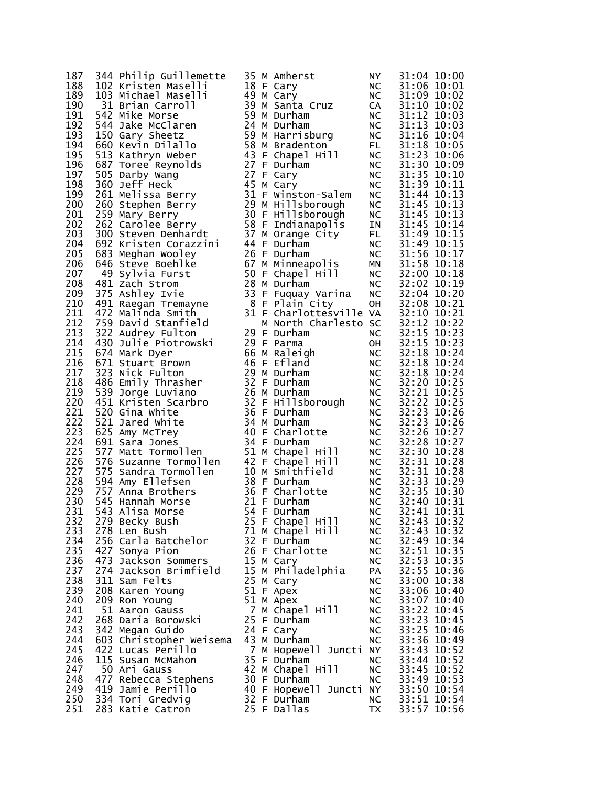| Philip Guillemette<br>344                   |
|---------------------------------------------|
| 102 Kristen Maselli                         |
| 103 Michael Maselli<br>-31 Brian Carroll    |
|                                             |
| 542 Mike Morse                              |
| 544<br>Jake McClaren                        |
| Gary Sheetz<br>150                          |
| 660<br>Kevin Dilallo                        |
| 513<br>Kathryn Weber                        |
| 687<br>Toree Reynolds                       |
| 505<br>Darby Wang                           |
| 360<br>Jeff Heck                            |
| 261<br>Melissa Berry                        |
| 260<br>Stephen Berry<br>259                 |
| Mary Berry<br>Carolee Berry<br>262          |
| 300 Steven Denhardt                         |
| 692<br>Kristen Corazzini                    |
| 683<br>Meghan Wooley                        |
| 646 Steve Boehlke                           |
| 49 Sylvia Furst                             |
| 481<br>Zach Strom                           |
| 375<br>Ashley Ivie                          |
| 491<br>Raegan Tremayne                      |
| 472<br>Malinda Smith                        |
| David Stanfield                             |
| 759<br>322<br>Audrey Fulton                 |
| 430 Julie Piotrowski                        |
| 674 Mark Dyer                               |
| 671 Stuart Brown                            |
| 323<br>Nick Fulton                          |
| 486 Emily Thrasher                          |
| 539<br>Jorge Luviano                        |
| 451<br>Kristen Scarbro                      |
| 520<br>Gina White                           |
| 521<br>Jared White                          |
| 625<br>Amy McTrey                           |
| 691<br>Sara Jones                           |
| 577<br>Matt Tormollen                       |
| 576 Suzanne Tormollen                       |
| 575 Sandra Tormollen                        |
| 594<br>Amy Ellefsen                         |
| 757 Anna Brothers                           |
| 545 Hannah Morse<br>543 Alisa Morse         |
| 279.<br>Becky Bush                          |
| 278<br>Len Bush                             |
| 256 Carla Batchelor                         |
| 427 Sonya Pion                              |
| 473                                         |
| Jackson Sommers<br>Jackson Brimfield<br>274 |
| 311<br>Sam Felts                            |
| 208<br>Karen Young                          |
| 209<br>Ron Young                            |
| 51<br>Aaron Gauss                           |
| 268<br>Daria Borowski                       |
| 342<br>Megan Guido                          |
|                                             |
| Christopher Weisema<br>603                  |
| 422<br>Lucas Perillo                        |
| Susan McMahon<br>115                        |
| 50<br>Ari Gauss                             |
| 477<br>Rebecca Stephens                     |
| 419 Jamie Perillo                           |
| 334<br>Tori Gredvig<br>283<br>Katie Catron  |
|                                             |

| 187 | 344 Philip Guillemette                                                                                                                                                                                                                           |  | 35 M Amherst                                                                              | NY.                  | 31:04 10:00                                                                            |
|-----|--------------------------------------------------------------------------------------------------------------------------------------------------------------------------------------------------------------------------------------------------|--|-------------------------------------------------------------------------------------------|----------------------|----------------------------------------------------------------------------------------|
| 188 | 102 Kristen Maselli                                                                                                                                                                                                                              |  | 18 F Cary                                                                                 | NC                   | 31:06 10:01                                                                            |
| 189 | 103 Michael Maselli                                                                                                                                                                                                                              |  | 49 M Cary                                                                                 | NC                   | 31:09 10:02                                                                            |
| 190 | 31 Brian Carroll                                                                                                                                                                                                                                 |  | 39 M Santa Cruz                                                                           | <b>CA</b>            | 31:10 10:02                                                                            |
| 191 | 542 Mike Morse                                                                                                                                                                                                                                   |  | 59 M Durham                                                                               |                      | 31:12 10:03                                                                            |
| 192 |                                                                                                                                                                                                                                                  |  | 24 M Durham                                                                               |                      |                                                                                        |
|     | 544 Jake McClaren<br>150 Gary Sheetz                                                                                                                                                                                                             |  |                                                                                           | NC<br>NC<br>NC<br>-- | 31:13 10:03                                                                            |
| 193 | 150 Gary Sheetz                                                                                                                                                                                                                                  |  | 59 M Harrisburg                                                                           |                      | 31:16 10:04                                                                            |
| 194 | 660 Kevin Dilallo                                                                                                                                                                                                                                |  | 58 M Bradenton<br>58 M Bradenton<br>43 F Chapel Hill                                      | FL<br>NC             | 31:18 10:05                                                                            |
| 195 | 513 Kathryn Weber                                                                                                                                                                                                                                |  |                                                                                           |                      | 31:23 10:06                                                                            |
| 196 | 687 Toree Reynolds                                                                                                                                                                                                                               |  | 27 F Durham                                                                               | NC                   | 31:30 10:09                                                                            |
| 197 | 505 Darby Wang                                                                                                                                                                                                                                   |  | 27 F Cary                                                                                 | NC                   | 31:35 10:10                                                                            |
| 198 | 360 Jeff Heck                                                                                                                                                                                                                                    |  | 45 M Cary                                                                                 | NC                   | 31:39 10:11                                                                            |
| 199 | 261 Melissa Berry<br>261 Melissa Berry<br>260 Stephen Berry<br>29 M Hillsborough<br>259 Mary Berry<br>262 Carolee Berry<br>26 F Indianapolis<br>300 Steven Denhardt<br>37 M Orange City                                                          |  | 31 F Winston-Salem                                                                        | NC                   | 31:44 10:13                                                                            |
| 200 |                                                                                                                                                                                                                                                  |  |                                                                                           |                      |                                                                                        |
| 201 |                                                                                                                                                                                                                                                  |  |                                                                                           |                      |                                                                                        |
| 202 |                                                                                                                                                                                                                                                  |  |                                                                                           |                      | NC 31:45 10:13<br>NC 31:45 10:13<br>NC 31:45 10:13<br>IN 31:49 10:14<br>FL 31:49 10:15 |
| 203 |                                                                                                                                                                                                                                                  |  | 37 M Orange City                                                                          |                      |                                                                                        |
| 204 | 692 Kristen Corazzini                                                                                                                                                                                                                            |  | 44 F Durham                                                                               | NC                   | 31:49 10:15                                                                            |
| 205 | 683 Meghan Wooley                                                                                                                                                                                                                                |  | 26 F Durham                                                                               | NC<br>MN             | 31:56 10:17                                                                            |
| 206 | 646 Steve Boehlke                                                                                                                                                                                                                                |  | 67 M Minneapolis                                                                          |                      | 31:58 10:18                                                                            |
| 207 | 49 Sylvia Furst                                                                                                                                                                                                                                  |  | 50 F Chapel Hill                                                                          | NC                   | 32:00 10:18                                                                            |
| 208 |                                                                                                                                                                                                                                                  |  |                                                                                           |                      | 32:02 10:19                                                                            |
| 209 | 375 Ashley Ivie                                                                                                                                                                                                                                  |  |                                                                                           | NC<br>NC             | 32:04 10:20                                                                            |
| 210 |                                                                                                                                                                                                                                                  |  |                                                                                           |                      | 32:08 10:21                                                                            |
| 211 | 481 Zach Strom<br>375 Ashley Ivie 33 F Fuquay Varina<br>491 Raegan Tremayne 8 F Plain City<br>472 Malinda Smith 31 F Charlottesville                                                                                                             |  | 31 F Charlottesville VA<br>31 F Charlottesville VA<br>M North Charlesto SC<br>29 F Durham |                      | 32:10 10:21                                                                            |
| 212 | 759 David Stanfield                                                                                                                                                                                                                              |  |                                                                                           |                      | 32:12 10:22                                                                            |
| 213 | 322 Audrey Fulton                                                                                                                                                                                                                                |  |                                                                                           |                      | 32:15 10:23                                                                            |
| 214 | 430 Julie Piotrowski                                                                                                                                                                                                                             |  | 29 F Parma                                                                                |                      | 32:15 10:23                                                                            |
| 215 | 674 Mark Dyer                                                                                                                                                                                                                                    |  | 66 M Raleigh                                                                              | OH<br>NC<br>NC       | 32:18 10:24                                                                            |
| 216 | 671 Stuart Brown                                                                                                                                                                                                                                 |  | 46 F Efland                                                                               | NC                   | 32:18 10:24                                                                            |
| 217 | 323 Nick Fulton                                                                                                                                                                                                                                  |  | 29 M Durham                                                                               |                      | 32:18 10:24                                                                            |
| 218 |                                                                                                                                                                                                                                                  |  |                                                                                           | NC<br>NC             | 32:20 10:25                                                                            |
| 219 |                                                                                                                                                                                                                                                  |  |                                                                                           |                      |                                                                                        |
|     |                                                                                                                                                                                                                                                  |  |                                                                                           | NC                   | 32:21 10:25                                                                            |
| 220 | 32 F Durham<br>451 Kristen Scarbro<br>520 Gina white<br>521 Jared White<br>625 Amy McTrey<br>621 Compared Acts 24 M Durham<br>621 Compared Acts 24 M Durham<br>621 Compared Acts 24 M Durham<br>621 Compared Acts 24 M Durham<br>621 Compared Ac |  |                                                                                           | NC<br>NC             | 32:22 10:25                                                                            |
| 221 |                                                                                                                                                                                                                                                  |  |                                                                                           |                      | 32:23 10:26                                                                            |
| 222 |                                                                                                                                                                                                                                                  |  |                                                                                           | NC                   | 32:23 10:26                                                                            |
| 223 |                                                                                                                                                                                                                                                  |  |                                                                                           | NC<br>NC             | 32:26 10:27                                                                            |
| 224 | 691 Sara Jones                                                                                                                                                                                                                                   |  | 34 F Durham                                                                               |                      | 32:28 10:27                                                                            |
| 225 | 577 Matt Tormollen<br>576 Suzanne Tormollen<br>575 Sandra Tormollen                                                                                                                                                                              |  | 51 M Chapel Hill                                                                          | NC                   | 32:30 10:28                                                                            |
| 226 |                                                                                                                                                                                                                                                  |  | 42 F Chapel Hill                                                                          | NC<br>NC             | 32:31 10:28                                                                            |
| 227 |                                                                                                                                                                                                                                                  |  | 10 M Smithfield                                                                           |                      | 32:31 10:28                                                                            |
| 228 | 594 Amy Ellefsen                                                                                                                                                                                                                                 |  |                                                                                           | NC                   | 32:33 10:29                                                                            |
| 229 | 757 Anna Brothers                                                                                                                                                                                                                                |  | n<br>a 38 F Durham<br>rs<br>36 F Charlotte<br>21 F Durham<br>54 F Durham                  | NC                   | 32:35 10:30                                                                            |
| 230 | 545 Hannah Morse                                                                                                                                                                                                                                 |  |                                                                                           | <b>NC</b>            | 32:40 10:31                                                                            |
| 231 | 543 Alisa Morse                                                                                                                                                                                                                                  |  |                                                                                           |                      | NC 32:41 10:31                                                                         |
| 232 | 279 Becky Bush                                                                                                                                                                                                                                   |  | 25 F Chapel Hill                                                                          | <b>NC</b>            | 32:43 10:32                                                                            |
| 233 | 278 Len Bush                                                                                                                                                                                                                                     |  | 71 M Chapel Hill                                                                          | <b>NC</b>            | 32:43 10:32                                                                            |
| 234 | 256 Carla Batchelor                                                                                                                                                                                                                              |  | 32 F Durham                                                                               | <b>NC</b>            | 32:49 10:34                                                                            |
| 235 | 427 Sonya Pion                                                                                                                                                                                                                                   |  | 26 F Charlotte                                                                            | <b>NC</b>            | 32:51 10:35                                                                            |
| 236 | 473 Jackson Sommers                                                                                                                                                                                                                              |  | 15 M Cary                                                                                 | <b>NC</b>            | 32:53 10:35                                                                            |
| 237 | 274 Jackson Brimfield                                                                                                                                                                                                                            |  | 15 M Philadelphia                                                                         | PA                   | 32:55 10:36                                                                            |
| 238 | 311 Sam Felts                                                                                                                                                                                                                                    |  | 25 M Cary                                                                                 | <b>NC</b>            | 33:00 10:38                                                                            |
| 239 | 208 Karen Young                                                                                                                                                                                                                                  |  | 51 F Apex                                                                                 | <b>NC</b>            | 33:06 10:40                                                                            |
| 240 | 209 Ron Young                                                                                                                                                                                                                                    |  | 51 M Apex                                                                                 | <b>NC</b>            | 33:07 10:40                                                                            |
| 241 | 51 Aaron Gauss                                                                                                                                                                                                                                   |  | 7 M Chapel Hill                                                                           | <b>NC</b>            | 33:22 10:45                                                                            |
| 242 | 268 Daria Borowski                                                                                                                                                                                                                               |  | 25 F Durham                                                                               | <b>NC</b>            | 33:23 10:45                                                                            |
| 243 | 342 Megan Guido                                                                                                                                                                                                                                  |  | 24 F Cary                                                                                 | <b>NC</b>            | 33:25 10:46                                                                            |
| 244 | 603 Christopher Weisema                                                                                                                                                                                                                          |  | 43 M Durham                                                                               | <b>NC</b>            | 33:36 10:49                                                                            |
| 245 | 422 Lucas Perillo                                                                                                                                                                                                                                |  | 7 M Hopewell Juncti NY                                                                    |                      | 33:43 10:52                                                                            |
| 246 | 115 Susan McMahon                                                                                                                                                                                                                                |  | 35 F Durham                                                                               | <b>NC</b>            | 33:44 10:52                                                                            |
| 247 | 50 Ari Gauss                                                                                                                                                                                                                                     |  | 42 M Chapel Hill                                                                          | <b>NC</b>            | 33:45 10:52                                                                            |
| 248 | 477 Rebecca Stephens                                                                                                                                                                                                                             |  | 30 F Durham                                                                               | <b>NC</b>            | 33:49 10:53                                                                            |
| 249 | 419 Jamie Perillo                                                                                                                                                                                                                                |  | 40 F Hopewell Juncti NY                                                                   |                      | 33:50 10:54                                                                            |
| 250 | 334 Tori Gredvig                                                                                                                                                                                                                                 |  | 32 F Durham                                                                               | NC.                  | 33:51 10:54                                                                            |
| 251 | 283 Katie Catron                                                                                                                                                                                                                                 |  | 25 F Dallas                                                                               | TX                   | 33:57 10:56                                                                            |
|     |                                                                                                                                                                                                                                                  |  |                                                                                           |                      |                                                                                        |

|           | 0000111112333334444445500000111111111222222333333344444555500002223563444555560002235563455500672355 |                           |
|-----------|------------------------------------------------------------------------------------------------------|---------------------------|
|           |                                                                                                      |                           |
|           |                                                                                                      |                           |
|           |                                                                                                      |                           |
|           |                                                                                                      |                           |
|           |                                                                                                      |                           |
|           |                                                                                                      |                           |
|           |                                                                                                      |                           |
|           |                                                                                                      |                           |
|           |                                                                                                      |                           |
|           |                                                                                                      |                           |
|           |                                                                                                      |                           |
|           |                                                                                                      |                           |
|           |                                                                                                      |                           |
|           |                                                                                                      |                           |
|           |                                                                                                      |                           |
|           |                                                                                                      |                           |
|           |                                                                                                      |                           |
|           |                                                                                                      |                           |
|           |                                                                                                      |                           |
|           |                                                                                                      |                           |
|           |                                                                                                      |                           |
|           |                                                                                                      |                           |
|           |                                                                                                      |                           |
|           |                                                                                                      |                           |
|           |                                                                                                      |                           |
|           |                                                                                                      |                           |
|           |                                                                                                      |                           |
|           |                                                                                                      |                           |
|           |                                                                                                      |                           |
|           |                                                                                                      | $\vdots$                  |
|           |                                                                                                      |                           |
|           |                                                                                                      |                           |
|           |                                                                                                      |                           |
|           |                                                                                                      |                           |
|           |                                                                                                      |                           |
|           |                                                                                                      |                           |
|           |                                                                                                      |                           |
|           |                                                                                                      |                           |
|           |                                                                                                      |                           |
|           |                                                                                                      |                           |
| $\bar{3}$ |                                                                                                      | $\frac{1}{2}$<br>$\Omega$ |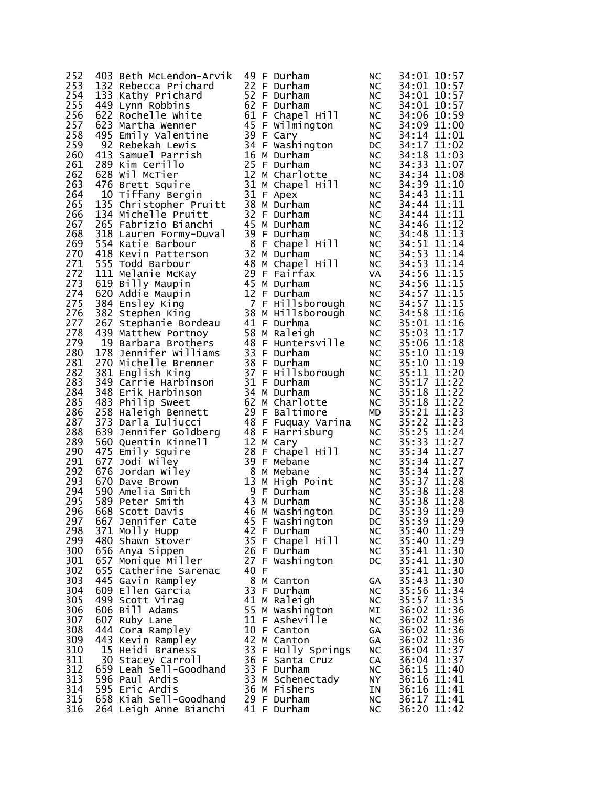| 252        | 403 Beth McLendon-Arvik                   |      | 49 F Durham                                   | <b>NC</b>             | 34:01 10:57                |
|------------|-------------------------------------------|------|-----------------------------------------------|-----------------------|----------------------------|
| 253        | 132 Rebecca Prichard                      |      | 22 F Durham                                   | NC .                  | 34:01 10:57                |
| 254        | 133 Kathy Prichard                        |      | 52 F Durham                                   | NC                    | 34:01 10:57                |
| 255        | 449 Lynn Robbins                          |      | 62 F Durham                                   | NC                    | 34:01 10:57                |
| 256        | 622 Rochelle White                        |      | 61 F Chapel Hill                              | NC                    | 34:06 10:59                |
| 257        | 623 Martha Wenner                         |      | 45 F Wilmington                               | NC                    | 34:09 11:00                |
| 258        | 495 Emily Valentine                       |      | 39 F Cary                                     | NC                    | 34:14 11:01                |
| 259        | 92 Rebekah Lewis                          |      | 34 F Washington                               | DC <b>D</b>           | 34:17 11:02                |
| 260        | 413 Samuel Parrish                        |      | 16 M Durham                                   | NC                    | 34:18 11:03                |
| 261        | 289 Kim Cerillo                           |      | 25 F Durham                                   | NC                    | 34:33 11:07                |
| 262        | 628 Wil McTier                            |      | 12 M Charlotte                                | NC                    | 34:34 11:08                |
| 263        | 476 Brett Squire                          |      | 31 M Chapel Hill                              | NC                    | 34:39 11:10                |
| 264        | 10 Tiffany Bergin                         |      | 31 F Apex                                     | NC                    | 34:43 11:11                |
| 265        | 135 Christopher Pruitt                    |      | 38 M Durham                                   | NC                    | 34:44 11:11                |
| 266        | 134 Michelle Pruitt                       |      | 32 F Durham                                   | NC                    | 34:44 11:11                |
| 267        | 265 Fabrizio Bianchi                      |      | 45 M Durham                                   | NC                    | 34:46 11:12                |
| 268        | 318 Lauren Formy-Duval                    |      | 39 F Durham                                   | NC                    | 34:48 11:13                |
| 269        | 554 Katie Barbour                         |      | 8 F Chapel Hill                               | NC                    | 34:51 11:14                |
| 270        | 418 Kevin Patterson                       |      | 32 M Durham                                   | NC                    | 34:53 11:14                |
| 271        | 555 Todd Barbour                          |      | 48 M Chapel Hill                              | NC                    | 34:53 11:14                |
| 272        | 111 Melanie McKay                         |      | 29 F Fairfax                                  | VA<br>NC              | 34:56 11:15                |
| 273        | 619 Billy Maupin                          |      | 45 M Durham<br>12 F Durham                    | NC                    | 34:56 11:15                |
| 274<br>275 | 620 Addie Maupin                          |      |                                               |                       | 34:57 11:15                |
| 276        | 384 Ensley King                           |      | 7 F Hillsborough<br>38 M Hillsborough         | NC<br><b>NC</b>       | 34:57 11:15<br>34:58 11:16 |
| 277        | 382 Stephen King<br>267 Stephanie Bordeau |      | 41 F Durhma                                   | NC                    | 35:01 11:16                |
| 278        | 439 Matthew Portnoy                       |      | 58 M Raleigh                                  |                       | 35:03 11:17                |
| 279        | 19 Barbara Brothers                       |      | 48 F Huntersville                             | NC<br><b>NC</b>       | 35:06 11:18                |
| 280        | 178 Jennifer Williams                     |      | 33 F Durham                                   | NC                    | 35:10 11:19                |
| 281        | 270 Michelle Brenner                      |      |                                               | NC                    | 35:10 11:19                |
| 282        | 381 English King                          |      | 38 F Durnam<br>37 F Hillsborough<br>-- Surham | NC                    | 35:11 11:20                |
| 283        | 349 Carrie Harbinson                      |      |                                               | NC                    | 35:17 11:22                |
| 284        | 348 Erik Harbinson                        |      | 34 M Durham                                   |                       | 35:18 11:22                |
| 285        | 483 Philip Sweet                          |      | 62 M Charlotte                                | NC<br>NC<br><b>NC</b> | 35:18 11:22                |
| 286        | 258 Haleigh Bennett                       |      | 29 F Baltimore                                | MD                    | 35:21 11:23                |
| 287        | 373 Darla Iuliucci                        |      | 48 F Fuquay Varina                            | NC                    | 35:22 11:23                |
| 288        | 639 Jennifer Goldberg                     |      | 48 F Harrisburg                               | NC                    | 35:25 11:24                |
| 289        | 560 Quentin Kinnell                       |      | 12 M Cary                                     | NC                    | 35:33 11:27                |
| 290        | 475 Emily Squire                          |      | 28 F Chapel Hill                              | NC                    | 35:34 11:27                |
| 291        | 677 Jodi Wiley                            |      | 39 F Mebane                                   | NC                    | 35:34 11:27                |
| 292        | 676 Jordan Wiley                          |      | 8 M Mebane                                    | NC                    | 35:34 11:27                |
| 293        | 670 Dave Brown                            |      | 13 M High Point                               | NC                    | 35:37 11:28                |
| 294        | 590 Amelia Smith                          |      | 9 F Durham                                    |                       | 35:38 11:28                |
| 295        | 589 Peter Smith                           |      | 43 M Durham                                   | <b>NC</b>             | 35:38 11:28                |
| 296        | 668 Scott Davis                           |      | 46 M Washington                               | DC                    | 35:39 11:29                |
| 297        | 667 Jennifer Cate                         |      | 45 F Washington                               | DC                    | 35:39 11:29                |
| 298<br>299 | 371 Molly Hupp                            |      | 42 F Durham                                   | <b>NC</b>             | 35:40 11:29                |
| 300        | 480 Shawn Stover                          |      | 35 F Chapel Hill                              | <b>NC</b>             | 35:40 11:29<br>35:41 11:30 |
| 301        | 656 Anya Sippen<br>657 Monique Miller     |      | 26 F Durham<br>27 F Washington                | NC.<br>DC             | 35:41 11:30                |
| 302        | 655 Catherine Sarenac                     | 40 F |                                               |                       | 35:41 11:30                |
| 303        | 445 Gavin Rampley                         |      | 8 M Canton                                    | GA                    | 35:43 11:30                |
| 304        | 609 Ellen Garcia                          |      | 33 F Durham                                   | NC                    | 35:56 11:34                |
| 305        | 499 Scott Virag                           |      | 41 M Raleigh                                  | NC.                   | 35:57 11:35                |
| 306        | 606 Bill Adams                            |      | 55 M Washington                               | MΙ                    | 36:02 11:36                |
| 307        | 607 Ruby Lane                             |      | 11 F Asheville                                | <b>NC</b>             | 36:02 11:36                |
| 308        | 444 Cora Rampley                          |      | 10 F Canton                                   | GA                    | 36:02 11:36                |
| 309        | 443 Kevin Rampley                         |      | 42 M Canton                                   | GA                    | 36:02 11:36                |
| 310        | 15 Heidi Braness                          |      | 33 F Holly Springs                            | NC                    | 36:04 11:37                |
| 311        | 30 Stacey Carroll                         |      | 36 F Santa Cruz                               | CA                    | 36:04 11:37                |
| 312        | 659 Leah Sell-Goodhand                    |      | 33 F Durham                                   | <b>NC</b>             | 36:15 11:40                |
| 313        | 596 Paul Ardis                            |      | 33 M Schenectady                              | NY.                   | 36:16 11:41                |
| 314        | 595 Eric Ardis                            |      | 36 M Fishers                                  | ΙN                    | 36:16 11:41                |
| 315        | 658 Kiah Sell-Goodhand                    |      | 29 F Durham                                   | <b>NC</b>             | 36:17 11:41                |
| 316        | 264 Leigh Anne Bianchi                    |      | 41 F Durham                                   | <b>NC</b>             | 36:20 11:42                |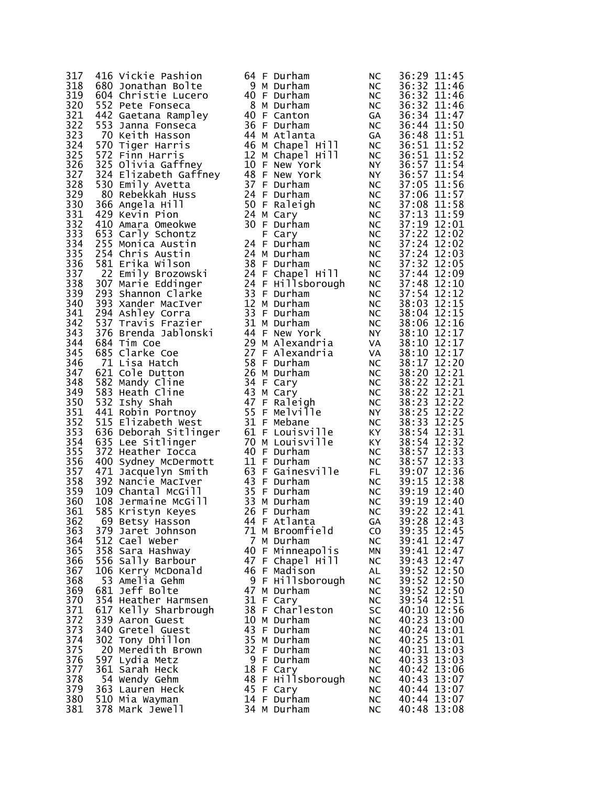| 317        | 416 Vickie Pashion                       |  | 64 F Durham                 | <b>NC</b>                   |             | 36:29 11:45                |
|------------|------------------------------------------|--|-----------------------------|-----------------------------|-------------|----------------------------|
| 318        | 680 Jonathan Bolte                       |  | 9 M Durham                  | NC.                         |             | 36:32 11:46                |
| 319        | 604 Christie Lucero                      |  | 40 F Durham                 | NC                          |             | 36:32 11:46                |
| 320<br>321 | 552 Pete Fonseca                         |  | 8 M Durham<br>40 F Canton   | NC                          |             | 36:32 11:46<br>36:34 11:47 |
| 322        | 442 Gaetana Rampley<br>553 Janna Fonseca |  | 36 F Durham                 | GA<br><b>NC</b>             |             | 36:44 11:50                |
| 323        | 70 Keith Hasson                          |  | 44 M Atlanta                | inC<br>GA                   |             | 36:48 11:51                |
| 324        | 570 Tiger Harris                         |  | 46 M Chapel Hill            | NC                          |             | 36:51 11:52                |
| 325        | 572 Finn Harris                          |  | 12 M Chapel Hill            |                             |             | 36:51 11:52                |
| 326        | 325 Olivia Gaffney                       |  | 10 F New York               | NC<br>NY                    |             | 36:57 11:54                |
| 327        | 324 Elizabeth Gaffney                    |  | 48 F New York               | NY N                        |             | 36:57 11:54                |
| 328        | 530 Emily Avetta                         |  | 37 F Durham                 | <b>NC</b>                   |             | 37:05 11:56                |
| 329        | 80 Rebekkah Huss                         |  | 24 F Durham                 | NC                          |             | 37:06 11:57                |
| 330        | 366 Angela Hill                          |  | 50 F Raleigh                | NC                          |             | 37:08 11:58                |
| 331        | 429 Kevin Pion                           |  | 24 M Cary                   | NC                          |             | 37:13 11:59                |
| 332<br>333 | 410 Amara Omeokwe                        |  | 30 F Durham                 | NC                          |             | 37:19 12:01<br>37:22 12:02 |
| 334        | 653 Carly Schontz<br>255 Monica Austin   |  | F Cary<br>24 F Durham       | <b>NC</b><br><b>NC</b>      |             | 37:24 12:02                |
| 335        | 254 Chris Austin                         |  | 24 M Durham                 | NC                          |             | 37:24 12:03                |
| 336        | 581 Erika Wilson                         |  | 38 F Durham                 | NC                          |             | 37:32 12:05                |
| 337        | 22 Emily Brozowski                       |  | 24 F Chapel Hill            |                             | 37:44 12:09 |                            |
| 338        | 307 Marie Eddinger                       |  | 24 F Hillsborough           | NC<br>NC                    |             | 37:48 12:10                |
| 339        | 293 Shannon Clarke                       |  | 33 F Durham                 | NC                          |             | 37:54 12:12                |
| 340        | 393 Xander MacIver                       |  | 12 M Durham                 | NC                          |             | 38:03 12:15                |
| 341        | 294 Ashley Corra                         |  | 33 F Durham                 | NC                          |             | 38:04 12:15                |
| 342        | 537 Travis Frazier                       |  | 31 M Durham                 | NC                          |             | 38:06 12:16                |
| 343        | 376 Brenda Jablonski                     |  | 44 F New York               | <b>NY</b>                   |             | 38:10 12:17                |
| 344        | 684 Tim Coe                              |  | 29 M Alexandria             | VA                          |             | 38:10 12:17                |
| 345        | 685 Clarke Coe                           |  | 27 F Alexandria             | VA                          |             | 38:10 12:17                |
| 346        | 71 Lisa Hatch                            |  | 58 F Durham                 | NC                          |             | 38:17 12:20                |
| 347        | 621 Cole Dutton                          |  | 26 M Durham                 | NC                          |             | 38:20 12:21                |
| 348<br>349 | 582 Mandy Cline<br>583 Heath Cline       |  | 34 F Cary                   | NC                          |             | 38:22 12:21<br>38:22 12:21 |
| 350        | 532 Ishy Shah                            |  | 43 M Cary<br>47 F Raleigh   | <b>NC</b><br>NC             |             | 38:23 12:22                |
| 351        | 441 Robin Portnoy                        |  | 55 F Melville               |                             |             | 38:25 12:22                |
| 352        | 515 Elizabeth West                       |  | 31 F Mebane                 | N <sup>Y</sup><br><b>NC</b> |             | 38:33 12:25                |
| 353        | 636 Deborah Sitlinger                    |  | 61 F Louisville             | KY X                        |             | 38:54 12:31                |
| 354        | 635 Lee Sitlinger                        |  | 70 M Louisville             |                             |             | 38:54 12:32                |
| 355        | 372 Heather Iocca                        |  | 40 F Durham                 | KY<br>NC                    |             | 38:57 12:33                |
| 356        | 400 Sydney McDermott                     |  | 11 F Durham                 | NC                          |             | 38:57 12:33                |
| 357        | 471 Jacquelyn Smith                      |  | 63 F Gainesville            | FL.                         |             | 39:07 12:36                |
| 358        | 392 Nancie MacIver                       |  | 43 F Durham                 | <b>NC</b>                   |             | 39:15 12:38                |
| 359        | 109 Chantal McGill                       |  | 35 F Durham                 | NC                          |             | 39:19 12:40                |
| 360        | 108 Jermaine McGill                      |  | 33 M Durham                 | <b>NC</b>                   |             | 39:19 12:40                |
| 361<br>362 | 585 Kristyn Keyes                        |  | 26 F Durham<br>44 F Atlanta | <b>NC</b><br>GA             |             | 39:22 12:41<br>39:28 12:43 |
| 363        | 69 Betsy Hasson<br>379 Jaret Johnson     |  | 71 M Broomfield             | C <sub>O</sub>              |             | 39:35 12:45                |
| 364        | 512 Cael Weber                           |  | 7 M Durham                  | NС                          |             | 39:41 12:47                |
| 365        | 358 Sara Hashway                         |  | 40 F Minneapolis            | ΜN                          |             | 39:41 12:47                |
| 366        | 556 Sally Barbour                        |  | 47 F Chapel Hill            | <b>NC</b>                   |             | 39:43 12:47                |
| 367        | 106 Kerry McDonald                       |  | 46 F Madison                | AL                          |             | 39:52 12:50                |
| 368        | 53 Amelia Gehm                           |  | 9 F Hillsborough            | <b>NC</b>                   |             | 39:52 12:50                |
| 369        | 681 Jeff Bolte                           |  | 47 M Durham                 | NС                          |             | 39:52 12:50                |
| 370        | 354 Heather Harmsen                      |  | 31 F Cary                   | <b>NC</b>                   |             | 39:54 12:51                |
| 371        | 617 Kelly Sharbrough                     |  | 38 F Charleston             | SC                          |             | 40:10 12:56                |
| 372        | 339 Aaron Guest                          |  | 10 M Durham                 | NС                          |             | 40:23 13:00                |
| 373        | 340 Gretel Guest                         |  | 43 F Durham                 | <b>NC</b>                   |             | 40:24 13:01                |
| 374        | 302 Tony Dhillon                         |  | 35 M Durham                 | <b>NC</b>                   |             | 40:25 13:01                |
| 375<br>376 | 20 Meredith Brown<br>597 Lydia Metz      |  | 32 F Durham<br>9 F Durham   | <b>NC</b><br><b>NC</b>      |             | 40:31 13:03<br>40:33 13:03 |
| 377        | 361 Sarah Heck                           |  | 18 F Cary                   | <b>NC</b>                   |             | 40:42 13:06                |
| 378        | 54 Wendy Gehm                            |  | 48 F Hillsborough           | <b>NC</b>                   |             | 40:43 13:07                |
| 379        | 363 Lauren Heck                          |  | 45 F Cary                   | NC                          |             | 40:44 13:07                |
| 380        | 510 Mia Wayman                           |  | 14 F Durham                 | <b>NC</b>                   |             | 40:44 13:07                |
| 381        | 378 Mark Jewell                          |  | 34 M Durham                 | <b>NC</b>                   |             | 40:48 13:08                |
|            |                                          |  |                             |                             |             |                            |

| 64                   | F      | Durham                 | N <sub>C</sub>       |
|----------------------|--------|------------------------|----------------------|
| 9<br>40              | Μ<br>F | Durham<br>Durham       | NC<br>NC             |
| 8                    | Μ      | Durham                 | N                    |
| 40                   | F      | Canton                 | GΑ                   |
| 36<br>44             | F<br>Μ | Durham<br>Atlanta      | N<br>G۵              |
| 46                   | м      | Chapel Hill            | N <sub>C</sub>       |
| 12                   | Μ      | нill<br>Chapel         | N                    |
| 10                   | F      | New York<br>New York   | N١                   |
| 48<br>37             | F<br>F | Durham                 | N١<br>N              |
| 24                   | F      | Durham                 | N <sub>C</sub>       |
| 50                   | F      | Raleigh                | N                    |
| 24<br>30             | М<br>F | Cary<br>Durham         | N <sub>C</sub><br>N  |
|                      | F      | Cary                   | N                    |
| 24                   | F      | Durham                 | N                    |
| 24<br>38             | M<br>F | Durham<br>Durham       | N0<br>N <sub>C</sub> |
| 24                   | F      | Chapel<br>Hill         | N                    |
|                      | F      | Hillsborough           | N <sub>C</sub>       |
| - 24<br>33<br>12     | F<br>Μ | Durham<br>Durham       | N<br>N <sub>C</sub>  |
| 33<br>31             | F      | Durham                 | N                    |
|                      | М      | Durham                 | N                    |
| 44                   | F<br>M | New York<br>Alexandria | N١<br>٧A             |
| 29<br>27             | F      | Alexandria             | ۷A                   |
| 58                   | F      | Durham                 | N <sub>C</sub>       |
| -<br>26<br>34        | Μ<br>F | Durham<br>Cary         | N0<br>N <sub>C</sub> |
| 43                   | M      | Cary                   | N <sub>C</sub>       |
| 47                   | F      | Raléigh                | N                    |
| 55<br>31             | F<br>F | Melville<br>Mebane     | N١<br>N              |
| 61                   | F      | Louisville             | K١                   |
| 70                   | Μ      | Louisville             | К١                   |
| 40<br>11             | F<br>F | Durham<br>Durham       | N<br>N <sub>C</sub>  |
| 63                   | F      | Gainesville            | FL                   |
|                      | F      | Durham                 | N <sub>C</sub>       |
| 43<br>35<br>33<br>26 | F      | Durham                 | N                    |
|                      | M<br>F | Durham<br>Durham       | NC<br>N              |
| 44                   | F      | Atlanta                | G۵                   |
| 71                   | м      | Broomfield             | CC                   |
| 7<br>40              | Μ<br>F | Durham<br>Minneapolis  | N<br>M٨              |
| 47                   | F      | Chapel Hill            | N                    |
| 46                   | F      | Madison                | AL                   |
| 9<br>47              | F<br>M | Hillsborough<br>Durham | N<br>N               |
| 31<br>38             | F      | Cary                   | N                    |
|                      | F      | Charleston             | sc                   |
| 10                   | Μ<br>F | Durham<br>Durham       | NC<br>N <sub>C</sub> |
| 43<br>35<br>32       | Μ      | Durham                 | NC                   |
|                      | F      | Durham                 | NC                   |
| 9<br>18              | F<br>F | Durham<br>Cary         | N<br>N               |
| 48                   | F      | Hillsborough           | N                    |
| 45                   | F      | Cary                   | N                    |
| 14<br>34             | F<br>M | Durham<br>Durham       | N<br>N               |
|                      |        |                        |                      |

| University And A complete the Contract of Contract of A Anders A A contract A Contract of A contract of Contract of A | 23333444555500011222234450000111222223555550111222335447775992853 |          |  |
|-----------------------------------------------------------------------------------------------------------------------|-------------------------------------------------------------------|----------|--|
|                                                                                                                       |                                                                   |          |  |
|                                                                                                                       |                                                                   |          |  |
|                                                                                                                       |                                                                   |          |  |
|                                                                                                                       |                                                                   |          |  |
|                                                                                                                       |                                                                   |          |  |
|                                                                                                                       |                                                                   |          |  |
|                                                                                                                       |                                                                   |          |  |
|                                                                                                                       |                                                                   |          |  |
|                                                                                                                       |                                                                   |          |  |
|                                                                                                                       |                                                                   |          |  |
|                                                                                                                       |                                                                   |          |  |
|                                                                                                                       |                                                                   |          |  |
|                                                                                                                       |                                                                   |          |  |
|                                                                                                                       |                                                                   |          |  |
|                                                                                                                       |                                                                   |          |  |
|                                                                                                                       |                                                                   |          |  |
|                                                                                                                       |                                                                   |          |  |
|                                                                                                                       |                                                                   |          |  |
|                                                                                                                       |                                                                   |          |  |
|                                                                                                                       |                                                                   |          |  |
|                                                                                                                       |                                                                   |          |  |
|                                                                                                                       |                                                                   |          |  |
|                                                                                                                       |                                                                   |          |  |
|                                                                                                                       |                                                                   |          |  |
|                                                                                                                       |                                                                   |          |  |
|                                                                                                                       |                                                                   |          |  |
|                                                                                                                       |                                                                   |          |  |
|                                                                                                                       |                                                                   |          |  |
|                                                                                                                       |                                                                   |          |  |
|                                                                                                                       |                                                                   |          |  |
|                                                                                                                       |                                                                   |          |  |
|                                                                                                                       |                                                                   |          |  |
|                                                                                                                       |                                                                   |          |  |
|                                                                                                                       |                                                                   |          |  |
|                                                                                                                       |                                                                   |          |  |
|                                                                                                                       |                                                                   |          |  |
|                                                                                                                       |                                                                   |          |  |
|                                                                                                                       |                                                                   |          |  |
|                                                                                                                       |                                                                   |          |  |
|                                                                                                                       |                                                                   |          |  |
|                                                                                                                       |                                                                   |          |  |
|                                                                                                                       |                                                                   |          |  |
|                                                                                                                       |                                                                   |          |  |
|                                                                                                                       |                                                                   |          |  |
|                                                                                                                       |                                                                   |          |  |
|                                                                                                                       |                                                                   |          |  |
|                                                                                                                       |                                                                   |          |  |
|                                                                                                                       |                                                                   |          |  |
|                                                                                                                       |                                                                   |          |  |
|                                                                                                                       |                                                                   |          |  |
|                                                                                                                       |                                                                   |          |  |
|                                                                                                                       |                                                                   |          |  |
|                                                                                                                       |                                                                   |          |  |
|                                                                                                                       |                                                                   |          |  |
|                                                                                                                       |                                                                   |          |  |
|                                                                                                                       |                                                                   |          |  |
|                                                                                                                       |                                                                   |          |  |
|                                                                                                                       |                                                                   |          |  |
|                                                                                                                       |                                                                   |          |  |
|                                                                                                                       |                                                                   |          |  |
|                                                                                                                       |                                                                   |          |  |
|                                                                                                                       |                                                                   |          |  |
|                                                                                                                       |                                                                   |          |  |
|                                                                                                                       |                                                                   |          |  |
|                                                                                                                       |                                                                   |          |  |
|                                                                                                                       |                                                                   |          |  |
|                                                                                                                       |                                                                   |          |  |
|                                                                                                                       | 444555551223334444844448                                          |          |  |
|                                                                                                                       |                                                                   | $\vdots$ |  |
|                                                                                                                       |                                                                   |          |  |
|                                                                                                                       |                                                                   |          |  |
|                                                                                                                       |                                                                   |          |  |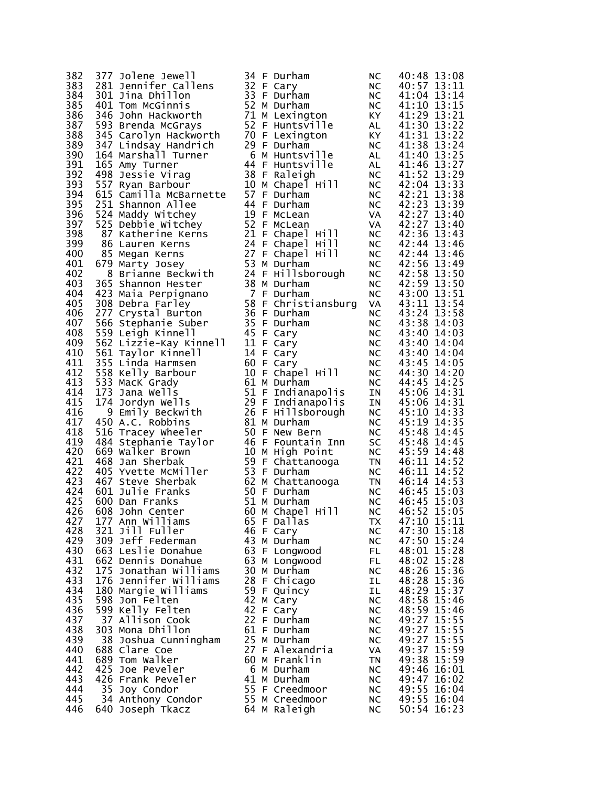| 382        | 377 Jolene Jewell                                                               |  | 34 F Durham                          | <b>NC</b>       | 40:48 13:08                |
|------------|---------------------------------------------------------------------------------|--|--------------------------------------|-----------------|----------------------------|
| 383        | 281 Jennifer Callens                                                            |  | 32 F Cary                            | NC.             | 40:57 13:11                |
| 384        | 301 Jina Dhillon                                                                |  | 33 F Durham                          | NC              | 41:04 13:14                |
| 385        | 401 Tom McGinnis                                                                |  | 52 M Durham                          | NC              | 41:10 13:15                |
| 386        | 346 John Hackworth                                                              |  | 71 M Lexington                       | KY I            | 41:29 13:21                |
| 387        | 593 Brenda McGrays                                                              |  | 52 F Huntsville                      | AL              | 41:30 13:22                |
| 388        | 345 Carolyn Hackworth                                                           |  | 70 F Lexington                       | KY.             | 41:31 13:22                |
| 389        | 347 Lindsay Handrich                                                            |  | 29 F Durham                          | NC              | 41:38 13:24                |
| 390        | 164 Marshall Turner                                                             |  | 6 M Huntsville                       | AL              | 41:40 13:25                |
| 391        | 165 Amy Turner                                                                  |  | 44 F Huntsville                      | AL              | 41:46 13:27                |
| 392        | 498 Jessie Virag                                                                |  | 38 F Raleigh                         | NC.             | 41:52 13:29                |
| 393        | 557 Ryan Barbour                                                                |  | 10 M Chapel Hill                     | NC              | 42:04 13:33                |
| 394        | 615 Camilla McBarnette                                                          |  | 57 F Durham                          | <b>NC</b>       | 42:21 13:38                |
| 395        | 251 Shannon Allee                                                               |  | 44 F Durham                          | NC.             | 42:23 13:39                |
| 396        | 524 Maddy Witchey                                                               |  | 19 F McLean                          | VA              | 42:27 13:40                |
| 397        | 525 Debbie Witchey                                                              |  | 52 F McLean                          | VA              | 42:27 13:40                |
| 398        | 24 Maddy witchey<br>25 Debbie Witchey<br>87 Katherine Kerns<br>33 Marween Kerns |  | 21 F Chapel Hill<br>24 F Chapel Hill | NC.             | 42:36 13:43                |
| 399<br>400 |                                                                                 |  | 27 F Chapel Hill                     | NC              | 42:44 13:46                |
| 401        | 85 Megan Kerns<br>679 Marty Josey                                               |  | 53 M Durham                          | NC.<br>NC.      | 42:44 13:46<br>42:56 13:49 |
| 402        | 8 Brianne Beckwith                                                              |  | 24 F Hillsborough                    |                 | 42:58 13:50                |
| 403        | 365 Shannon Hester                                                              |  | 38 M Durham                          | NC<br><b>NC</b> | 42:59 13:50                |
| 404        | 423 Maia Perpignano                                                             |  | 7 F Durham                           | <b>NC</b>       | 43:00 13:51                |
| 405        | 308 Debra Farley                                                                |  | 58 F Christiansburg                  | VA              | 43:11 13:54                |
| 406        | 277 Crystal Burton                                                              |  | 36 F Durham                          | <b>NC</b>       | 43:24 13:58                |
| 407        | 566 Stephanie Suber                                                             |  | 35 F Durham                          | NC.             | 43:38 14:03                |
| 408        | 559 Leigh Kinnell                                                               |  | 45 F Cary                            | NC              | 43:40 14:03                |
| 409        | 562 Lizzie-Kay Kinnell                                                          |  | 11 F Cary                            | <b>NC</b>       | 43:40 14:04                |
| 410        | 561 Taylor Kinnell                                                              |  | 14 F Cary                            | <b>NC</b>       | 43:40 14:04                |
| 411        | 355 Linda Harmsen                                                               |  | 60 F Cary                            | NC.             | 43:45 14:05                |
| 412        | 558 Kelly Barbour                                                               |  | 10 F Chapel Hill                     | NC              | 44:30 14:20                |
| 413        | 533 MacK Grady                                                                  |  | 61 M Durham                          | <b>NC</b>       | 44:45 14:25                |
| 414        | 173 Jana Wells                                                                  |  | 51 F Indianapolis                    | IN              | 45:06 14:31                |
| 415        | 174 Jordyn Wells                                                                |  | 29 F Indianapolis                    | IN              | 45:06 14:31                |
| 416        | 9 Emily Beckwith                                                                |  | 26 F Hillsborough                    | <b>NC</b>       | 45:10 14:33                |
| 417        | 450 A.C. Robbins                                                                |  | 81 M Durham                          | NC.             | 45:19 14:35                |
| 418        | 516 Tracey Wheeler                                                              |  | 50 F New Bern                        | <b>NC</b>       | 45:48 14:45                |
| 419        | 484 Stephanie Taylor                                                            |  | 46 F Fountain Inn                    | SC              | 45:48 14:45                |
| 420        | 669 walker Brown                                                                |  | 10 M High Point                      | NC              | 45:59 14:48                |
| 421        | 468 Jan Sherbak                                                                 |  | 59 F Chattanooga                     | TN              | 46:11 14:52                |
| 422        | 405 Yvette McMiller                                                             |  | 53 F Durham                          | NC              | 46:11 14:52                |
| 423        | 467 Steve Sherbak                                                               |  | 62 M Chattanooga                     | <b>TN</b>       | 46:14 14:53                |
| 424        | 601 Julie Franks                                                                |  | 50 F Durham                          | <b>NC</b>       | 46:45 15:03                |
| 425        | 600 Dan Franks                                                                  |  | 51 M Durham                          | <b>NC</b>       | 46:45 15:03                |
| 426        | 608 John Center<br>177 Ann Williams                                             |  | 60 M Chapel Hill<br>65 F Dallas      | <b>NC</b>       | 46:52 15:05<br>47:10 15:11 |
| 427<br>428 | 321 Jill Fuller                                                                 |  | 46 F Cary                            | ТX<br><b>NC</b> | 47:30 15:18                |
| 429        | 309 Jeff Federman                                                               |  | 43 M Durham                          | <b>NC</b>       | 47:50 15:24                |
| 430        | 663 Leslie Donahue                                                              |  | 63 F Longwood                        | FL.             | 48:01 15:28                |
| 431        | 662 Dennis Donahue                                                              |  | 63 M Longwood                        | FL.             | 48:02 15:28                |
| 432        | 175 Jonathan Williams                                                           |  | 30 M Durham                          | <b>NC</b>       | 48:26 15:36                |
| 433        | 176 Jennifer Williams                                                           |  | 28 F Chicago                         | IL              | 48:28 15:36                |
| 434        | 180 Margie Williams                                                             |  | 59 F Quincy                          | IL              | 48:29 15:37                |
| 435        | 598 Jon Felten                                                                  |  | 42 M Cary                            | <b>NC</b>       | 48:58 15:46                |
| 436        | 599 Kelly Felten                                                                |  | 42 F Cary                            | <b>NC</b>       | 48:59 15:46                |
| 437        | 37 Allison Cook                                                                 |  | 22 F Durham                          | <b>NC</b>       | 49:27 15:55                |
| 438        | 303 Mona Dhillon                                                                |  | 61 F Durham                          | NC              | 49:27 15:55                |
| 439        | 38 Joshua Cunningham                                                            |  | 25 M Durham                          | <b>NC</b>       | 49:27 15:55                |
| 440        | 688 Clare Coe                                                                   |  | 27 F Alexandria                      | VA              | 49:37 15:59                |
| 441        | 689 Tom Walker                                                                  |  | 60 M Franklin                        | <b>TN</b>       | 49:38 15:59                |
| 442        | 425 Joe Peveler                                                                 |  | 6 M Durham                           | <b>NC</b>       | 49:46 16:01                |
| 443        | 426 Frank Peveler                                                               |  | 41 M Durham                          | NC              | 49:47 16:02                |
| 444        | 35 Joy Condor                                                                   |  | 55 F Creedmoor                       | <b>NC</b>       | 49:55 16:04                |
| 445        | 34 Anthony Condor                                                               |  | 55 M Creedmoor                       | NC              | 49:55 16:04                |
| 446        | 640 Joseph Tkacz                                                                |  | 64 M Raleigh                         | <b>NC</b>       | 50:54 16:23                |